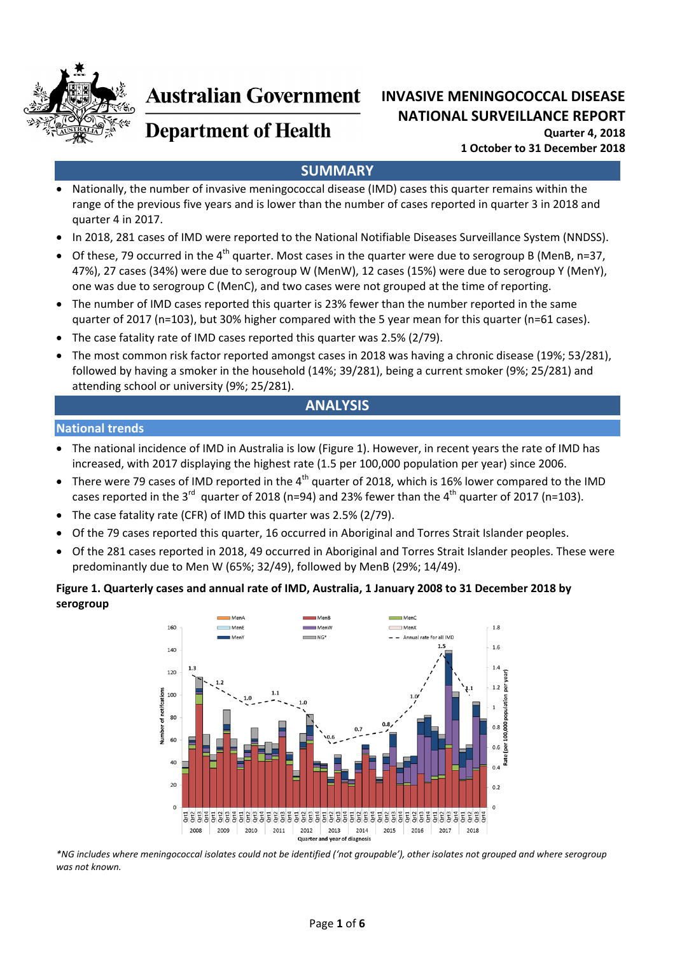

# **Australian Government**

# **INVASIVE MENINGOCOCCAL DISEASE NATIONAL SURVEILLANCE REPORT Quarter 4, 2018 1 October to 31 December 2018**

# **Department of Health**

# **SUMMARY**

- Nationally, the number of invasive meningococcal disease (IMD) cases this quarter remains within the range of the previous five years and is lower than the number of cases reported in quarter 3 in 2018 and quarter 4 in 2017.
- In 2018, 281 cases of IMD were reported to the National Notifiable Diseases Surveillance System (NNDSS).
- Of these, 79 occurred in the 4<sup>th</sup> quarter. Most cases in the quarter were due to serogroup B (MenB, n=37, 47%), 27 cases (34%) were due to serogroup W (MenW), 12 cases (15%) were due to serogroup Y (MenY), one was due to serogroup C (MenC), and two cases were not grouped at the time of reporting.
- The number of IMD cases reported this quarter is 23% fewer than the number reported in the same quarter of 2017 (n=103), but 30% higher compared with the 5 year mean for this quarter (n=61 cases).
- The case fatality rate of IMD cases reported this quarter was 2.5% (2/79).
- The most common risk factor reported amongst cases in 2018 was having a chronic disease (19%; 53/281), followed by having a smoker in the household (14%; 39/281), being a current smoker (9%; 25/281) and attending school or university (9%; 25/281).

# **ANALYSIS**

#### **National trends**

- The national incidence of IMD in Australia is low (Figure 1). However, in recent years the rate of IMD has increased, with 2017 displaying the highest rate (1.5 per 100,000 population per year) since 2006.
- There were 79 cases of IMD reported in the 4<sup>th</sup> quarter of 2018, which is 16% lower compared to the IMD cases reported in the 3<sup>rd</sup> quarter of 2018 (n=94) and 23% fewer than the 4<sup>th</sup> quarter of 2017 (n=103).
- The case fatality rate (CFR) of IMD this quarter was 2.5% (2/79).
- Of the 79 cases reported this quarter, 16 occurred in Aboriginal and Torres Strait Islander peoples.
- Of the 281 cases reported in 2018, 49 occurred in Aboriginal and Torres Strait Islander peoples. These were predominantly due to Men W (65%; 32/49), followed by MenB (29%; 14/49).

#### **Figure 1. Quarterly cases and annual rate of IMD, Australia, 1 January 2008 to 31 December 2018 by serogroup**



\*NG includes where meningococcal isolates could not be identified ('not groupable'), other isolates not grouped and where serogroup *was not known.*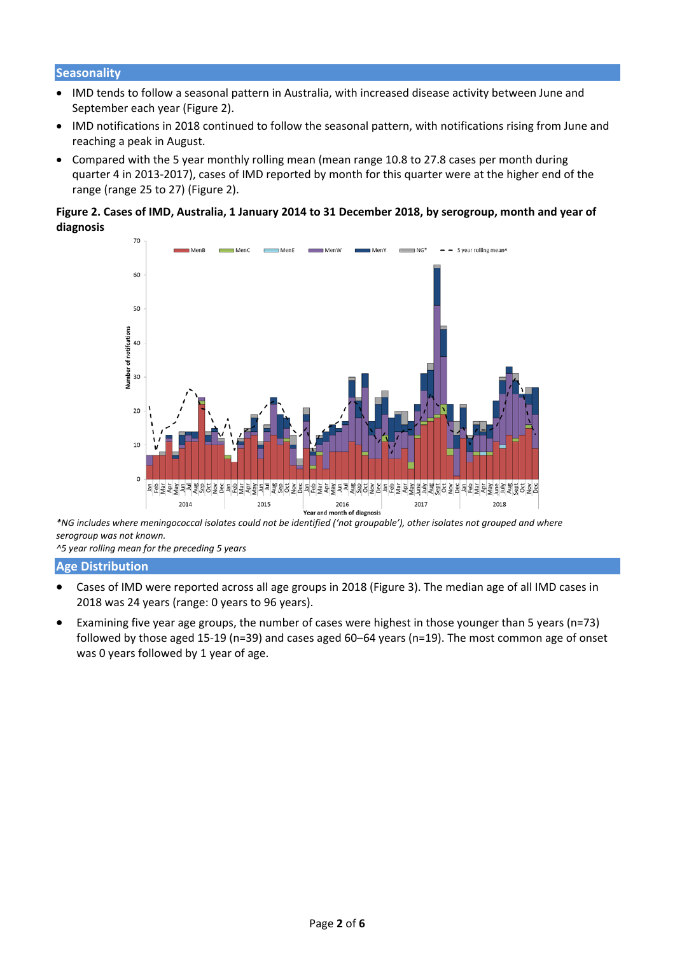#### **Seasonality**

- IMD tends to follow a seasonal pattern in Australia, with increased disease activity between June and September each year (Figure 2).
- IMD notifications in 2018 continued to follow the seasonal pattern, with notifications rising from June and reaching a peak in August.
- Compared with the 5 year monthly rolling mean (mean range 10.8 to 27.8 cases per month during quarter 4 in 2013‐2017), cases of IMD reported by month for this quarter were at the higher end of the range (range 25 to 27) (Figure 2).

#### Figure 2. Cases of IMD, Australia, 1 January 2014 to 31 December 2018, by serogroup, month and year of **diagnosis**



\*NG includes where meningococcal isolates could not be identified ('not groupable'), other isolates not grouped and where *serogroup was not known.*

*^5 year rolling mean for the preceding 5 years*

#### **Age Distribution**

- Cases of IMD were reported across all age groups in 2018 (Figure 3). The median age of all IMD cases in 2018 was 24 years (range: 0 years to 96 years).
- Examining five year age groups, the number of cases were highest in those younger than 5 years (n=73) followed by those aged 15‐19 (n=39) and cases aged 60–64 years (n=19). The most common age of onset was 0 years followed by 1 year of age.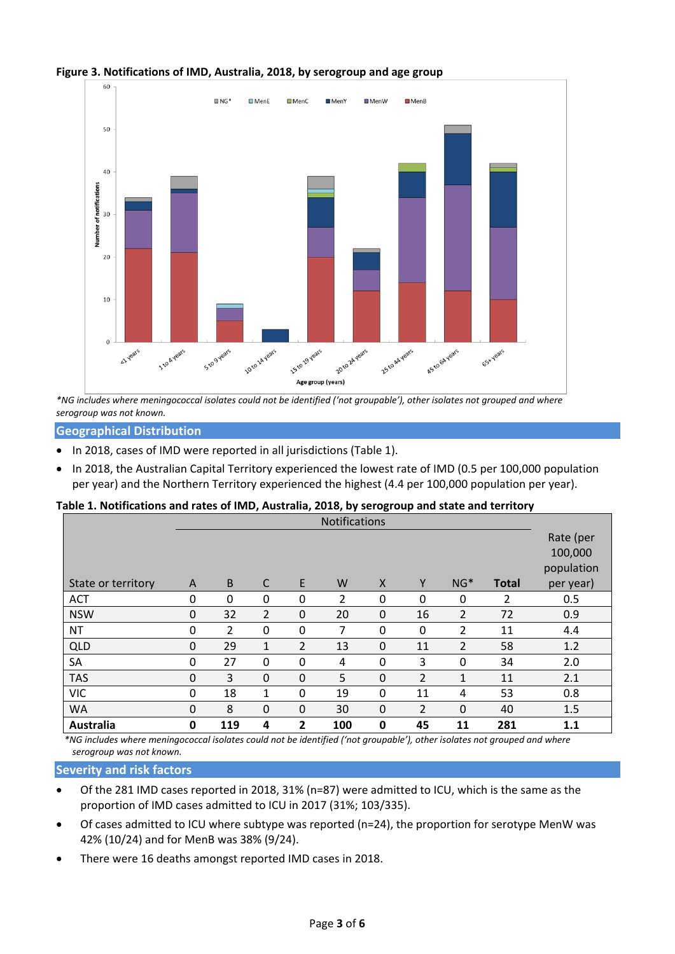

#### **Figure 3. Notifications of IMD, Australia, 2018, by serogroup and age group**

\*NG includes where meningococcal isolates could not be identified ('not groupable'), other isolates not grouped and where *serogroup was not known.*

**Geographical Distribution**

- In 2018, cases of IMD were reported in all jurisdictions (Table 1).
- In 2018, the Australian Capital Territory experienced the lowest rate of IMD (0.5 per 100,000 population per year) and the Northern Territory experienced the highest (4.4 per 100,000 population per year).

#### **Table 1. Notifications and rates of IMD, Australia, 2018, by serogroup and state and territory**

|                    | avic 1. Notincations and rates or most prostraing, 2010, by scrogroup and state and territory<br><b>Notifications</b> |                |             |                |                |              |                |                |              |            |
|--------------------|-----------------------------------------------------------------------------------------------------------------------|----------------|-------------|----------------|----------------|--------------|----------------|----------------|--------------|------------|
|                    |                                                                                                                       |                |             |                |                |              |                |                |              | Rate (per  |
|                    |                                                                                                                       |                |             |                |                |              |                |                |              | 100,000    |
|                    |                                                                                                                       |                |             |                |                |              |                |                |              | population |
| State or territory | A                                                                                                                     | $\overline{B}$ | C           | E              | W              | $\mathsf{X}$ | Y              | $NG*$          | <b>Total</b> | per year)  |
| <b>ACT</b>         | 0                                                                                                                     | $\Omega$       | $\Omega$    | 0              | $\overline{2}$ | 0            | 0              | 0              | 2            | 0.5        |
| <b>NSW</b>         | 0                                                                                                                     | 32             | 2           | $\mathbf 0$    | 20             | $\mathbf 0$  | 16             | 2              | 72           | 0.9        |
| <b>NT</b>          | $\Omega$                                                                                                              | $\overline{2}$ | $\Omega$    | 0              | 7              | $\Omega$     | $\Omega$       | $\overline{2}$ | 11           | 4.4        |
| <b>QLD</b>         | $\Omega$                                                                                                              | 29             | 1           | $\overline{2}$ | 13             | $\mathbf 0$  | 11             | $\overline{2}$ | 58           | 1.2        |
| SA                 | 0                                                                                                                     | 27             | $\Omega$    | 0              | 4              | 0            | 3              | 0              | 34           | 2.0        |
| <b>TAS</b>         | $\Omega$                                                                                                              | 3              | $\Omega$    | 0              | 5              | $\mathbf 0$  | $\overline{2}$ | $\mathbf{1}$   | 11           | 2.1        |
| <b>VIC</b>         | $\Omega$                                                                                                              | 18             | 1           | 0              | 19             | 0            | 11             | 4              | 53           | 0.8        |
| <b>WA</b>          | $\mathbf 0$                                                                                                           | 8              | $\mathbf 0$ | 0              | 30             | $\mathbf 0$  | $\overline{2}$ | $\mathbf 0$    | 40           | 1.5        |
| Australia          | 0                                                                                                                     | 119            | 4           | 2              | 100            | 0            | 45             | 11             | 281          | 1.1        |

\*NG includes where meningococcal isolates could not be identified ('not groupable'), other isolates not grouped and where *serogroup was not known.*

**Severity and risk factors**

- Of the 281 IMD cases reported in 2018, 31% (n=87) were admitted to ICU, which is the same as the proportion of IMD cases admitted to ICU in 2017 (31%; 103/335).
- Of cases admitted to ICU where subtype was reported (n=24), the proportion for serotype MenW was 42% (10/24) and for MenB was 38% (9/24).
- There were 16 deaths amongst reported IMD cases in 2018.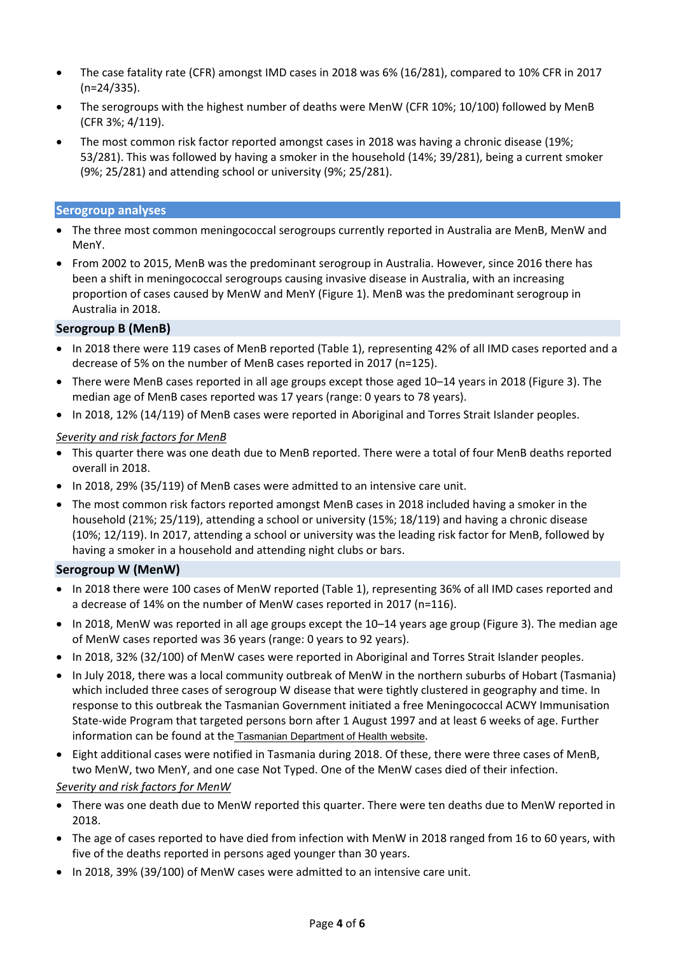- The case fatality rate (CFR) amongst IMD cases in 2018 was 6% (16/281), compared to 10% CFR in 2017 (n=24/335).
- The serogroups with the highest number of deaths were MenW (CFR 10%; 10/100) followed by MenB (CFR 3%; 4/119).
- The most common risk factor reported amongst cases in 2018 was having a chronic disease (19%; 53/281). This was followed by having a smoker in the household (14%; 39/281), being a current smoker (9%; 25/281) and attending school or university (9%; 25/281).

#### **Serogroup analyses**

- The three most common meningococcal serogroups currently reported in Australia are MenB, MenW and MenY.
- From 2002 to 2015, MenB was the predominant serogroup in Australia. However, since 2016 there has been a shift in meningococcal serogroups causing invasive disease in Australia, with an increasing proportion of cases caused by MenW and MenY (Figure 1). MenB was the predominant serogroup in Australia in 2018.

#### **Serogroup B (MenB)**

- In 2018 there were 119 cases of MenB reported (Table 1), representing 42% of all IMD cases reported and a decrease of 5% on the number of MenB cases reported in 2017 (n=125).
- There were MenB cases reported in all age groups except those aged 10–14 years in 2018 (Figure 3). The median age of MenB cases reported was 17 years (range: 0 years to 78 years).
- In 2018, 12% (14/119) of MenB cases were reported in Aboriginal and Torres Strait Islander peoples.

#### *Severity and risk factors for MenB*

- This quarter there was one death due to MenB reported. There were a total of four MenB deaths reported overall in 2018.
- In 2018, 29% (35/119) of MenB cases were admitted to an intensive care unit.
- The most common risk factors reported amongst MenB cases in 2018 included having a smoker in the household (21%; 25/119), attending a school or university (15%; 18/119) and having a chronic disease (10%; 12/119). In 2017, attending a school or university was the leading risk factor for MenB, followed by having a smoker in a household and attending night clubs or bars.

#### **Serogroup W (MenW)**

- In 2018 there were 100 cases of MenW reported (Table 1), representing 36% of all IMD cases reported and a decrease of 14% on the number of MenW cases reported in 2017 (n=116).
- In 2018, MenW was reported in all age groups except the 10–14 years age group (Figure 3). The median age of MenW cases reported was 36 years (range: 0 years to 92 years).
- In 2018, 32% (32/100) of MenW cases were reported in Aboriginal and Torres Strait Islander peoples.
- In July 2018, there was a local community outbreak of MenW in the northern suburbs of Hobart (Tasmania) which included three cases of serogroup W disease that were tightly clustered in geography and time. In response to this outbreak the Tasmanian Government initiated a free Meningococcal ACWY Immunisation State‐wide Program that targeted persons born after 1 August 1997 and at least 6 weeks of age. Further information can be found at the Tasmanian Department of Health website.
- Eight additional cases were notified in Tasmania during 2018. Of these, there were three cases of MenB, two MenW, two MenY, and one case Not Typed. One of the MenW cases died of their infection.

#### *Severity and risk factors for MenW*

- There was one death due to MenW reported this quarter. There were ten deaths due to MenW reported in 2018.
- The age of cases reported to have died from infection with MenW in 2018 ranged from 16 to 60 years, with five of the deaths reported in persons aged younger than 30 years.
- In 2018, 39% (39/100) of MenW cases were admitted to an intensive care unit.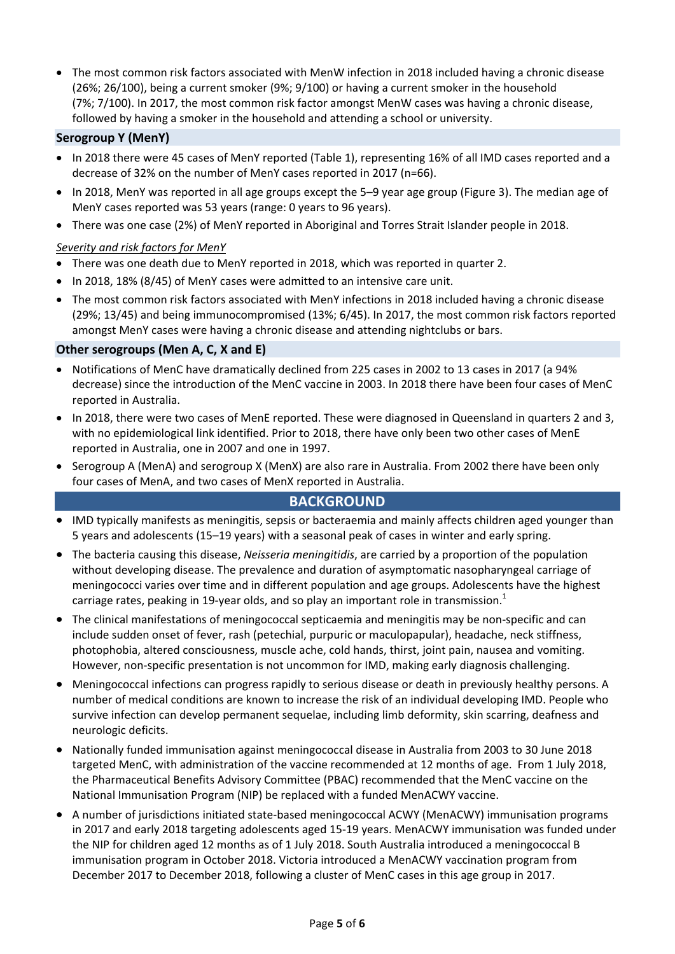The most common risk factors associated with MenW infection in 2018 included having a chronic disease (26%; 26/100), being a current smoker (9%; 9/100) or having a current smoker in the household (7%; 7/100). In 2017, the most common risk factor amongst MenW cases was having a chronic disease, followed by having a smoker in the household and attending a school or university.

#### **Serogroup Y (MenY)**

- In 2018 there were 45 cases of MenY reported (Table 1), representing 16% of all IMD cases reported and a decrease of 32% on the number of MenY cases reported in 2017 (n=66).
- In 2018, MenY was reported in all age groups except the 5–9 year age group (Figure 3). The median age of MenY cases reported was 53 years (range: 0 years to 96 years).
- There was one case (2%) of MenY reported in Aboriginal and Torres Strait Islander people in 2018.

#### *Severity and risk factors for MenY*

- There was one death due to MenY reported in 2018, which was reported in quarter 2.
- In 2018, 18% (8/45) of MenY cases were admitted to an intensive care unit.
- The most common risk factors associated with MenY infections in 2018 included having a chronic disease (29%; 13/45) and being immunocompromised (13%; 6/45). In 2017, the most common risk factors reported amongst MenY cases were having a chronic disease and attending nightclubs or bars.

#### **Other serogroups (Men A, C, X and E)**

- Notifications of MenC have dramatically declined from 225 cases in 2002 to 13 cases in 2017 (a 94% decrease) since the introduction of the MenC vaccine in 2003. In 2018 there have been four cases of MenC reported in Australia.
- In 2018, there were two cases of MenE reported. These were diagnosed in Queensland in quarters 2 and 3, with no epidemiological link identified. Prior to 2018, there have only been two other cases of MenE reported in Australia, one in 2007 and one in 1997.
- Serogroup A (MenA) and serogroup X (MenX) are also rare in Australia. From 2002 there have been only four cases of MenA, and two cases of MenX reported in Australia.

### **BACKGROUND**

- IMD typically manifests as meningitis, sepsis or bacteraemia and mainly affects children aged younger than 5 years and adolescents (15–19 years) with a seasonal peak of cases in winter and early spring.
- The bacteria causing this disease, *Neisseria meningitidis*, are carried by a proportion of the population without developing disease. The prevalence and duration of asymptomatic nasopharyngeal carriage of meningococci varies over time and in different population and age groups. Adolescents have the highest carriage rates, peaking in 19-year olds, and so play an important role in transmission. $<sup>1</sup>$ </sup>
- The clinical manifestations of meningococcal septicaemia and meningitis may be non‐specific and can include sudden onset of fever, rash (petechial, purpuric or maculopapular), headache, neck stiffness, photophobia, altered consciousness, muscle ache, cold hands, thirst, joint pain, nausea and vomiting. However, non-specific presentation is not uncommon for IMD, making early diagnosis challenging.
- Meningococcal infections can progress rapidly to serious disease or death in previously healthy persons. A number of medical conditions are known to increase the risk of an individual developing IMD. People who survive infection can develop permanent sequelae, including limb deformity, skin scarring, deafness and neurologic deficits.
- Nationally funded immunisation against meningococcal disease in Australia from 2003 to 30 June 2018 targeted MenC, with administration of the vaccine recommended at 12 months of age. From 1 July 2018, the Pharmaceutical Benefits Advisory Committee (PBAC) recommended that the MenC vaccine on the National Immunisation Program (NIP) be replaced with a funded MenACWY vaccine.
- A number of jurisdictions initiated state‐based meningococcal ACWY (MenACWY) immunisation programs in 2017 and early 2018 targeting adolescents aged 15‐19 years. MenACWY immunisation was funded under the NIP for children aged 12 months as of 1 July 2018. South Australia introduced a meningococcal B immunisation program in October 2018. Victoria introduced a MenACWY vaccination program from December 2017 to December 2018, following a cluster of MenC cases in this age group in 2017.